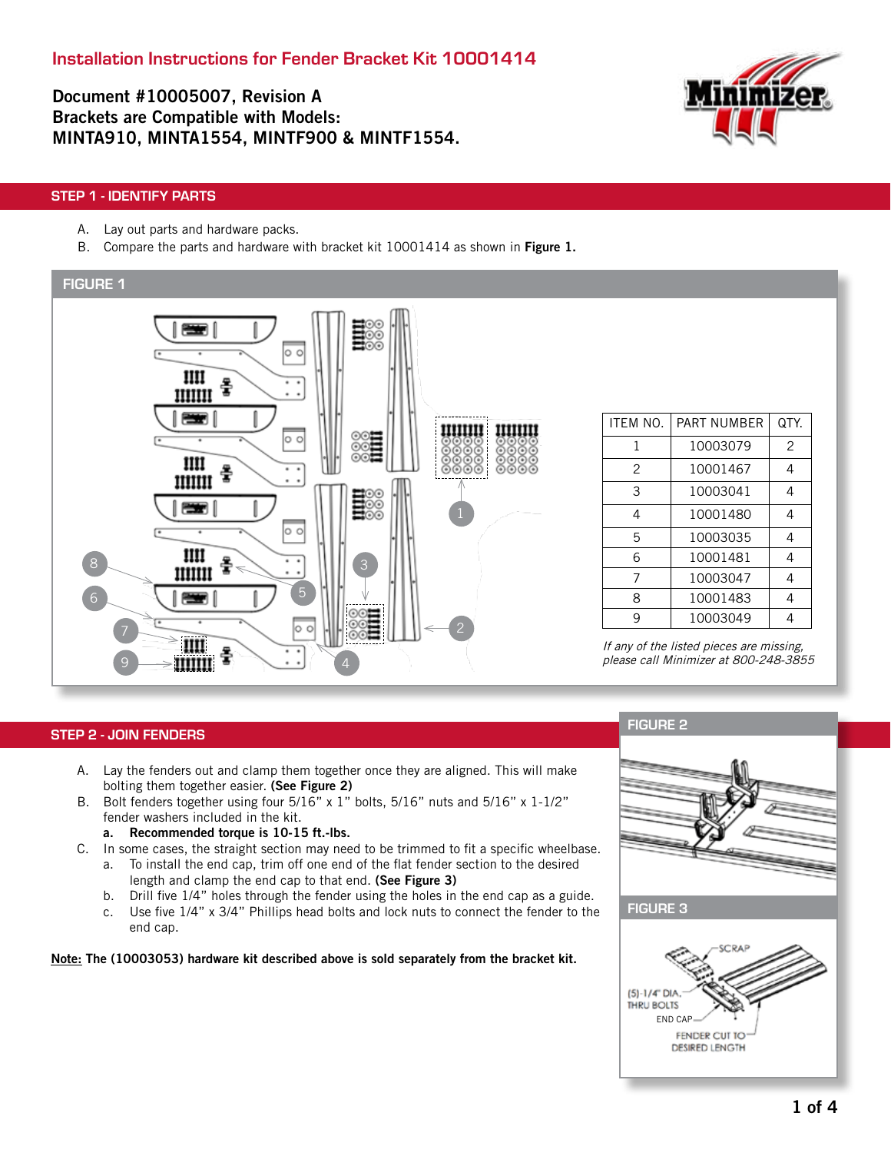Document #10005007, Revision A Brackets are Compatible with Models: MINTA910, MINTA1554, MINTF900 & MINTF1554.



# STEP 1 - IDENTIFY PARTS

- A. Lay out parts and hardware packs.
- B. Compare the parts and hardware with bracket kit 10001414 as shown in Figure 1.



### STEP 2 - JOIN FENDERS

- A. Lay the fenders out and clamp them together once they are aligned. This will make bolting them together easier. (See Figure 2)
- B. Bolt fenders together using four 5/16" x 1" bolts, 5/16" nuts and 5/16" x 1-1/2" fender washers included in the kit.
	- a. Recommended torque is 10-15 ft.-lbs.
- C. In some cases, the straight section may need to be trimmed to fit a specific wheelbase. a. To install the end cap, trim off one end of the flat fender section to the desired
	- length and clamp the end cap to that end. (See Figure 3)
	- b. Drill five 1/4" holes through the fender using the holes in the end cap as a guide.
	- c. Use five 1/4" x 3/4" Phillips head bolts and lock nuts to connect the fender to the end cap.

Note: The (10003053) hardware kit described above is sold separately from the bracket kit.

# FIGURE 2

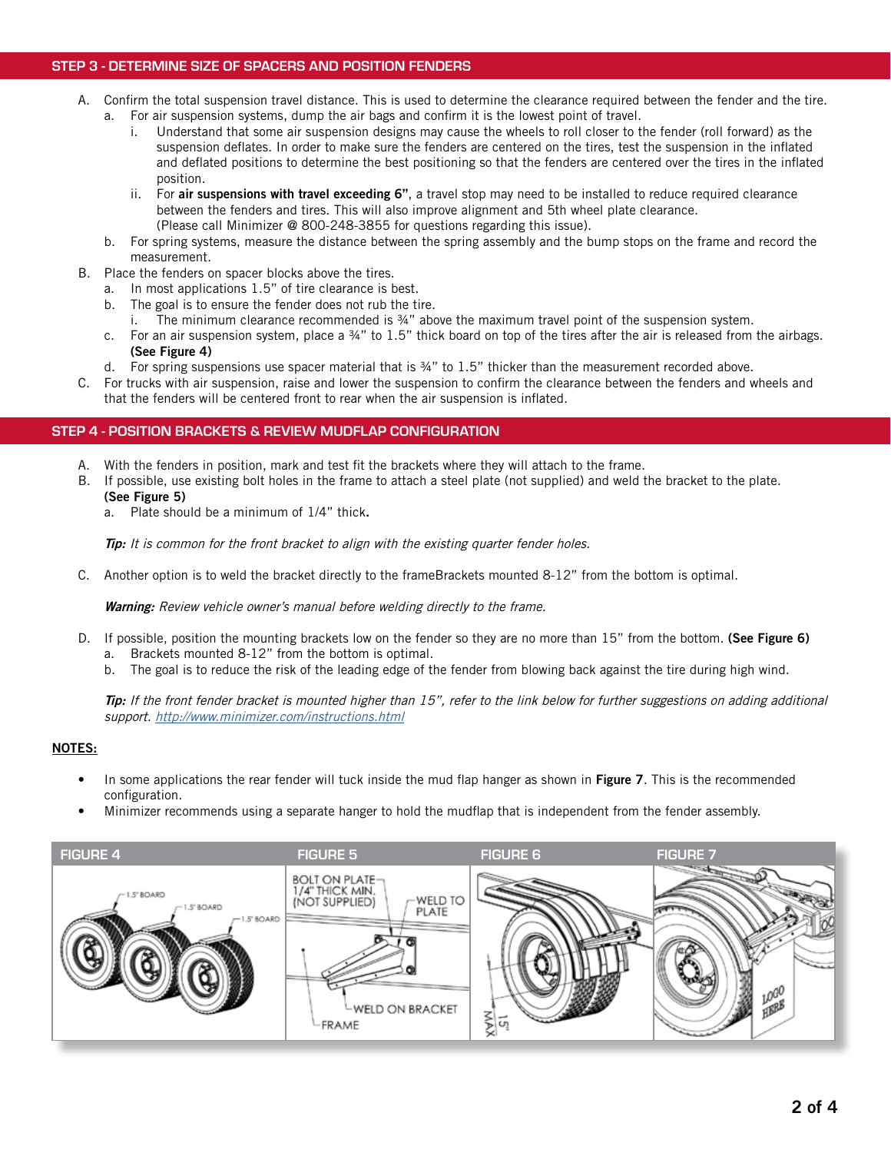## STEP 3 - DETERMINE SIZE OF SPACERS AND POSITION FENDERS

- A. Confirm the total suspension travel distance. This is used to determine the clearance required between the fender and the tire. a. For air suspension systems, dump the air bags and confirm it is the lowest point of travel.
	- i. Understand that some air suspension designs may cause the wheels to roll closer to the fender (roll forward) as the suspension deflates. In order to make sure the fenders are centered on the tires, test the suspension in the inflated and deflated positions to determine the best positioning so that the fenders are centered over the tires in the inflated position.
	- ii. For air suspensions with travel exceeding 6", a travel stop may need to be installed to reduce required clearance between the fenders and tires. This will also improve alignment and 5th wheel plate clearance. (Please call Minimizer @ 800-248-3855 for questions regarding this issue).
	- b. For spring systems, measure the distance between the spring assembly and the bump stops on the frame and record the measurement.
- B. Place the fenders on spacer blocks above the tires.
	- a. In most applications 1.5" of tire clearance is best.
	- b. The goal is to ensure the fender does not rub the tire.
		- i. The minimum clearance recommended is ¾" above the maximum travel point of the suspension system.
	- c. For an air suspension system, place a ¾" to 1.5" thick board on top of the tires after the air is released from the airbags. (See Figure 4)
	- d. For spring suspensions use spacer material that is  $\frac{3}{4}$ " to 1.5" thicker than the measurement recorded above.
- C. For trucks with air suspension, raise and lower the suspension to confirm the clearance between the fenders and wheels and that the fenders will be centered front to rear when the air suspension is inflated.

### STEP 4 - POSITION BRACKETS & REVIEW MUDFLAP CONFIGURATION

- A. With the fenders in position, mark and test fit the brackets where they will attach to the frame.
- B. If possible, use existing bolt holes in the frame to attach a steel plate (not supplied) and weld the bracket to the plate. (See Figure 5)
	- a. Plate should be a minimum of 1/4" thick.

Tip: It is common for the front bracket to align with the existing quarter fender holes.

C. Another option is to weld the bracket directly to the frameBrackets mounted 8-12" from the bottom is optimal.

Warning: Review vehicle owner's manual before welding directly to the frame.

- D. If possible, position the mounting brackets low on the fender so they are no more than 15" from the bottom. (See Figure 6)
	- a. Brackets mounted 8-12" from the bottom is optimal.
	- b. The goal is to reduce the risk of the leading edge of the fender from blowing back against the tire during high wind.

Tip: If the front fender bracket is mounted higher than 15", refer to the link below for further suggestions on adding additional support. http://www.minimizer.com/instructions.html

## NOTES:

- In some applications the rear fender will tuck inside the mud flap hanger as shown in Figure 7. This is the recommended configuration.
- Minimizer recommends using a separate hanger to hold the mudflap that is independent from the fender assembly.

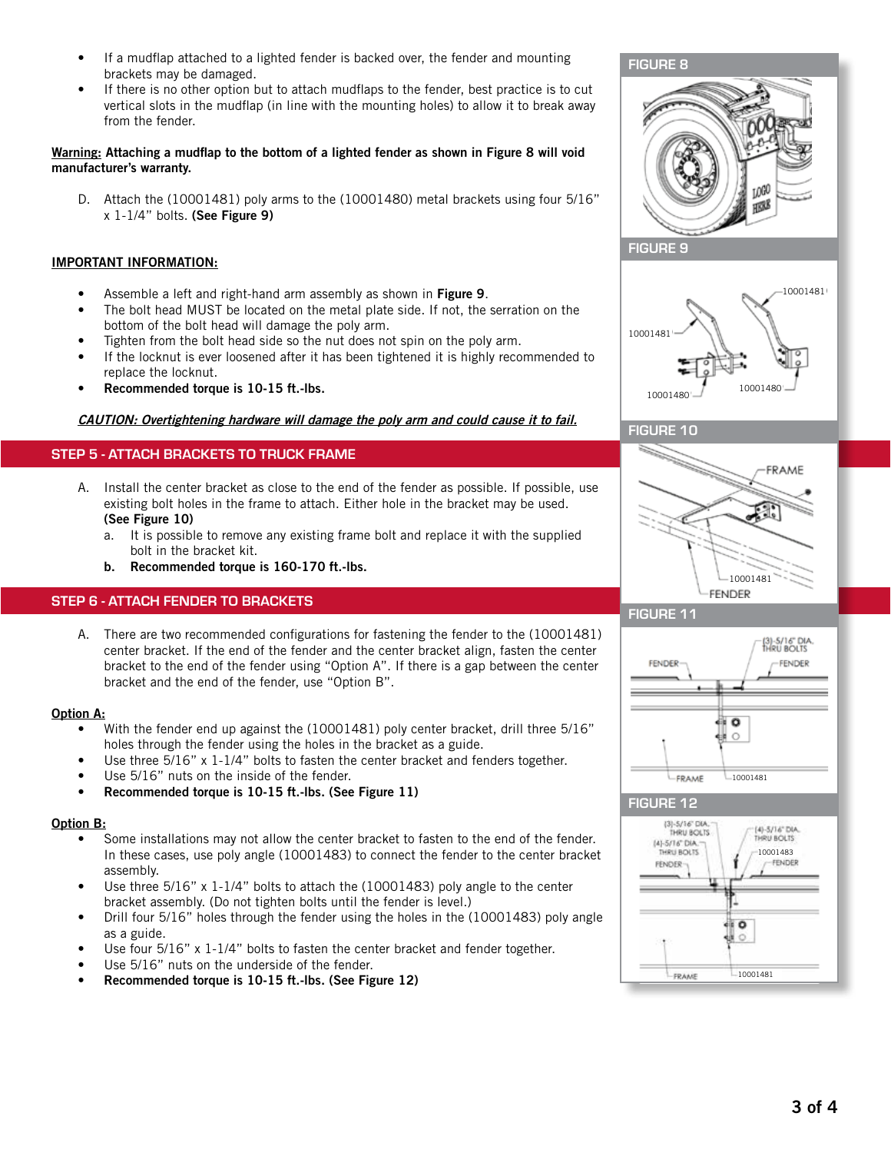- If a mudflap attached to a lighted fender is backed over, the fender and mounting brackets may be damaged.
- If there is no other option but to attach mudflaps to the fender, best practice is to cut vertical slots in the mudflap (in line with the mounting holes) to allow it to break away from the fender.

### Warning: Attaching a mudflap to the bottom of a lighted fender as shown in Figure 8 will void manufacturer's warranty.

D. Attach the (10001481) poly arms to the (10001480) metal brackets using four 5/16" x 1-1/4" bolts. (See Figure 9)

## IMPORTANT INFORMATION:

- Assemble a left and right-hand arm assembly as shown in Figure 9.
- The bolt head MUST be located on the metal plate side. If not, the serration on the bottom of the bolt head will damage the poly arm.
- Tighten from the bolt head side so the nut does not spin on the poly arm.
- If the locknut is ever loosened after it has been tightened it is highly recommended to replace the locknut.
- Recommended torque is 10-15 ft.-lbs.

### CAUTION: Overtightening hardware will damage the poly arm and could cause it to fail.

# STEP 5 - ATTACH BRACKETS TO TRUCK FRAME

- A. Install the center bracket as close to the end of the fender as possible. If possible, use existing bolt holes in the frame to attach. Either hole in the bracket may be used. (See Figure 10)
	- a. It is possible to remove any existing frame bolt and replace it with the supplied bolt in the bracket kit.
	- b. Recommended torque is 160-170 ft.-lbs.

## STEP 6 - ATTACH FENDER TO BRACKETS

A. There are two recommended configurations for fastening the fender to the (10001481) center bracket. If the end of the fender and the center bracket align, fasten the center bracket to the end of the fender using "Option A". If there is a gap between the center bracket and the end of the fender, use "Option B".

### Option A:

- With the fender end up against the (10001481) poly center bracket, drill three 5/16" holes through the fender using the holes in the bracket as a guide.
- Use three 5/16" x 1-1/4" bolts to fasten the center bracket and fenders together.
- Use 5/16" nuts on the inside of the fender.
- Recommended torque is 10-15 ft.-lbs. (See Figure 11)

### Option B:

- Some installations may not allow the center bracket to fasten to the end of the fender. In these cases, use poly angle (10001483) to connect the fender to the center bracket assembly.
- Use three  $5/16$ " x 1-1/4" bolts to attach the (10001483) poly angle to the center bracket assembly. (Do not tighten bolts until the fender is level.)
- Drill four 5/16" holes through the fender using the holes in the (10001483) poly angle as a guide.
- Use four 5/16" x 1-1/4" bolts to fasten the center bracket and fender together.
- Use 5/16" nuts on the underside of the fender.
- Recommended torque is 10-15 ft.-lbs. (See Figure 12)









## FIGURE 11